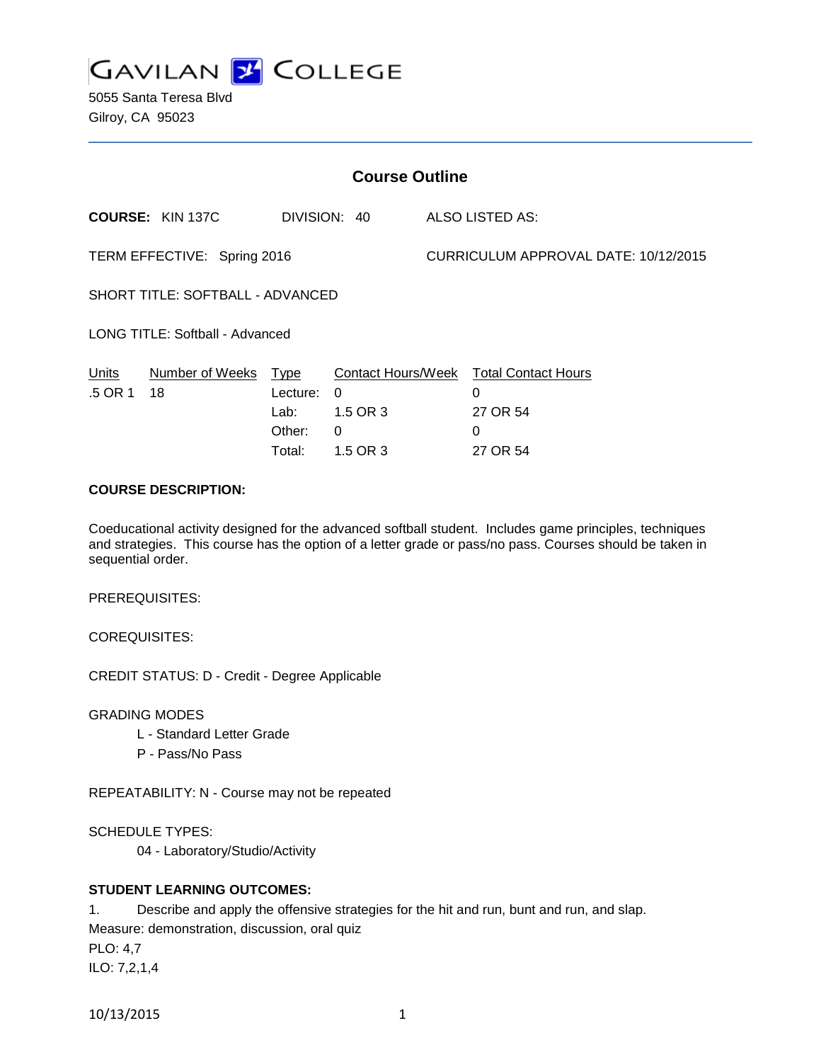

5055 Santa Teresa Blvd Gilroy, CA 95023

| <b>Course Outline</b>            |                         |                                                     |                                       |                                      |                                                                                        |
|----------------------------------|-------------------------|-----------------------------------------------------|---------------------------------------|--------------------------------------|----------------------------------------------------------------------------------------|
|                                  | <b>COURSE: KIN 137C</b> |                                                     | DIVISION: 40                          |                                      | ALSO LISTED AS:                                                                        |
| TERM EFFECTIVE: Spring 2016      |                         |                                                     |                                       | CURRICULUM APPROVAL DATE: 10/12/2015 |                                                                                        |
| SHORT TITLE: SOFTBALL - ADVANCED |                         |                                                     |                                       |                                      |                                                                                        |
| LONG TITLE: Softball - Advanced  |                         |                                                     |                                       |                                      |                                                                                        |
| Units<br>.5 OR 1                 | Number of Weeks<br>18   | <u>Type</u><br>Lecture:<br>Lab:<br>Other:<br>Total: | 0<br>1.5 OR 3<br>$\Omega$<br>1.5 OR 3 |                                      | Contact Hours/Week Total Contact Hours<br>$\Omega$<br>27 OR 54<br>$\Omega$<br>27 OR 54 |

## **COURSE DESCRIPTION:**

Coeducational activity designed for the advanced softball student. Includes game principles, techniques and strategies. This course has the option of a letter grade or pass/no pass. Courses should be taken in sequential order.

PREREQUISITES:

COREQUISITES:

CREDIT STATUS: D - Credit - Degree Applicable

GRADING MODES

- L Standard Letter Grade
- P Pass/No Pass

REPEATABILITY: N - Course may not be repeated

SCHEDULE TYPES:

04 - Laboratory/Studio/Activity

## **STUDENT LEARNING OUTCOMES:**

1. Describe and apply the offensive strategies for the hit and run, bunt and run, and slap. Measure: demonstration, discussion, oral quiz

PLO: 4,7 ILO: 7,2,1,4

10/13/2015 1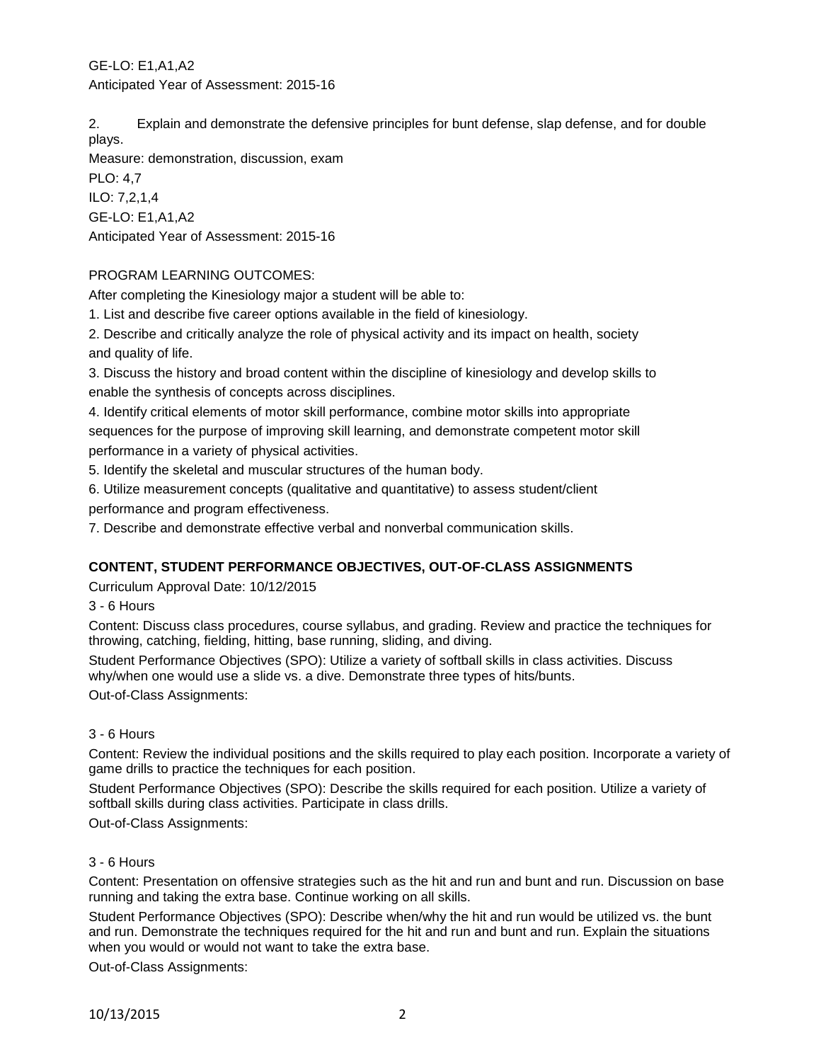GE-LO: E1,A1,A2 Anticipated Year of Assessment: 2015-16

2. Explain and demonstrate the defensive principles for bunt defense, slap defense, and for double plays.

Measure: demonstration, discussion, exam PLO: 4,7 ILO: 7,2,1,4 GE-LO: E1,A1,A2 Anticipated Year of Assessment: 2015-16

## PROGRAM LEARNING OUTCOMES:

After completing the Kinesiology major a student will be able to:

1. List and describe five career options available in the field of kinesiology.

2. Describe and critically analyze the role of physical activity and its impact on health, society and quality of life.

3. Discuss the history and broad content within the discipline of kinesiology and develop skills to enable the synthesis of concepts across disciplines.

4. Identify critical elements of motor skill performance, combine motor skills into appropriate sequences for the purpose of improving skill learning, and demonstrate competent motor skill performance in a variety of physical activities.

5. Identify the skeletal and muscular structures of the human body.

6. Utilize measurement concepts (qualitative and quantitative) to assess student/client

performance and program effectiveness.

7. Describe and demonstrate effective verbal and nonverbal communication skills.

# **CONTENT, STUDENT PERFORMANCE OBJECTIVES, OUT-OF-CLASS ASSIGNMENTS**

Curriculum Approval Date: 10/12/2015

3 - 6 Hours

Content: Discuss class procedures, course syllabus, and grading. Review and practice the techniques for throwing, catching, fielding, hitting, base running, sliding, and diving.

Student Performance Objectives (SPO): Utilize a variety of softball skills in class activities. Discuss why/when one would use a slide vs. a dive. Demonstrate three types of hits/bunts.

Out-of-Class Assignments:

## 3 - 6 Hours

Content: Review the individual positions and the skills required to play each position. Incorporate a variety of game drills to practice the techniques for each position.

Student Performance Objectives (SPO): Describe the skills required for each position. Utilize a variety of softball skills during class activities. Participate in class drills.

Out-of-Class Assignments:

# 3 - 6 Hours

Content: Presentation on offensive strategies such as the hit and run and bunt and run. Discussion on base running and taking the extra base. Continue working on all skills.

Student Performance Objectives (SPO): Describe when/why the hit and run would be utilized vs. the bunt and run. Demonstrate the techniques required for the hit and run and bunt and run. Explain the situations when you would or would not want to take the extra base.

Out-of-Class Assignments: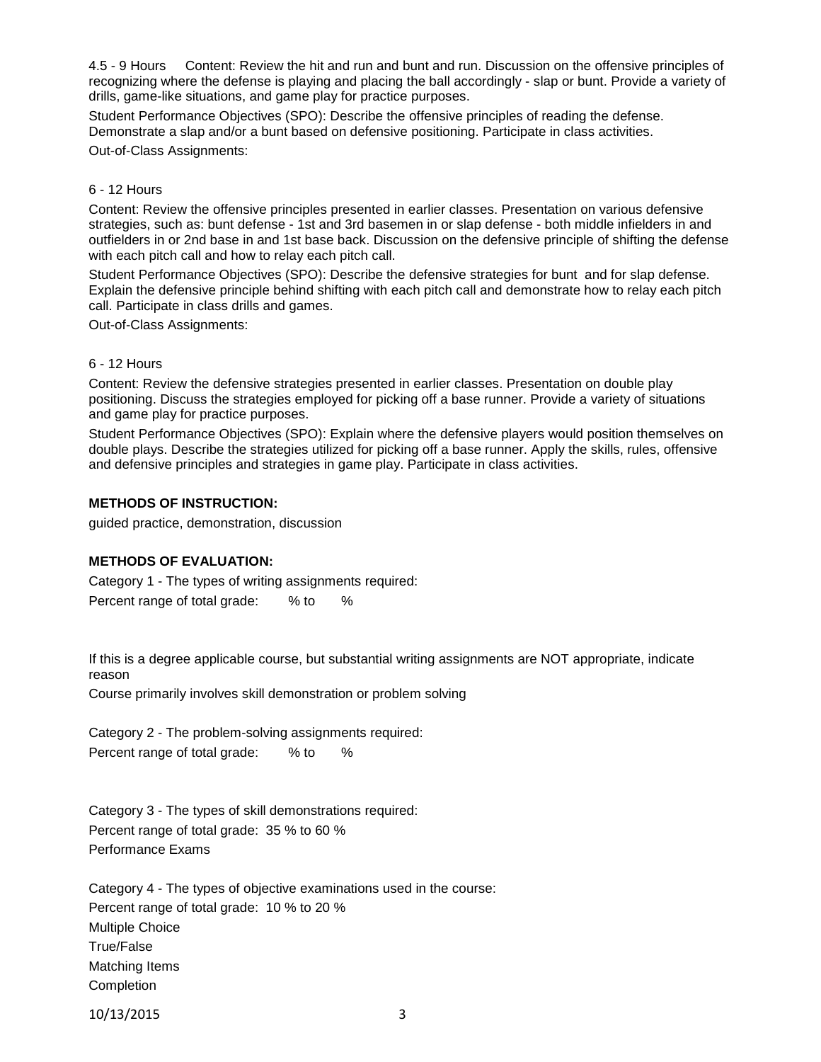4.5 - 9 Hours Content: Review the hit and run and bunt and run. Discussion on the offensive principles of recognizing where the defense is playing and placing the ball accordingly - slap or bunt. Provide a variety of drills, game-like situations, and game play for practice purposes.

Student Performance Objectives (SPO): Describe the offensive principles of reading the defense. Demonstrate a slap and/or a bunt based on defensive positioning. Participate in class activities.

Out-of-Class Assignments:

#### 6 - 12 Hours

Content: Review the offensive principles presented in earlier classes. Presentation on various defensive strategies, such as: bunt defense - 1st and 3rd basemen in or slap defense - both middle infielders in and outfielders in or 2nd base in and 1st base back. Discussion on the defensive principle of shifting the defense with each pitch call and how to relay each pitch call.

Student Performance Objectives (SPO): Describe the defensive strategies for bunt and for slap defense. Explain the defensive principle behind shifting with each pitch call and demonstrate how to relay each pitch call. Participate in class drills and games.

Out-of-Class Assignments:

#### 6 - 12 Hours

Content: Review the defensive strategies presented in earlier classes. Presentation on double play positioning. Discuss the strategies employed for picking off a base runner. Provide a variety of situations and game play for practice purposes.

Student Performance Objectives (SPO): Explain where the defensive players would position themselves on double plays. Describe the strategies utilized for picking off a base runner. Apply the skills, rules, offensive and defensive principles and strategies in game play. Participate in class activities.

## **METHODS OF INSTRUCTION:**

guided practice, demonstration, discussion

## **METHODS OF EVALUATION:**

Category 1 - The types of writing assignments required: Percent range of total grade: % to %

If this is a degree applicable course, but substantial writing assignments are NOT appropriate, indicate reason

Course primarily involves skill demonstration or problem solving

Category 2 - The problem-solving assignments required: Percent range of total grade: % to %

Category 3 - The types of skill demonstrations required: Percent range of total grade: 35 % to 60 % Performance Exams

Category 4 - The types of objective examinations used in the course: Percent range of total grade: 10 % to 20 % Multiple Choice True/False Matching Items **Completion** 

10/13/2015 3